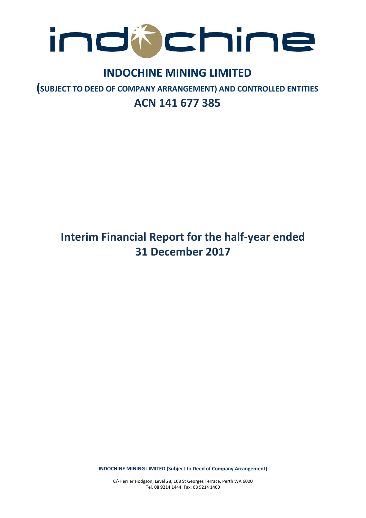

# **INDOCHINE MINING LIMITED**

**(SUBJECT TO DEED OF COMPANY ARRANGEMENT) AND CONTROLLED ENTITIES ACN 141 677 385**

# **Interim Financial Report for the half-year ended 31 December 2017**

**INDOCHINE MINING LIMITED (Subject to Deed of Company Arrangement)**

C/- Ferrier Hodgson, Level 28, 108 St Georges Terrace, Perth WA 6000 Tel. 08 9214 1444, Fax: 08 9214 1400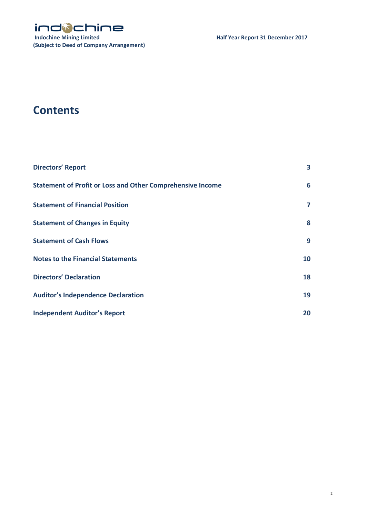

# **Contents**

| <b>Directors' Report</b>                                          | 3  |
|-------------------------------------------------------------------|----|
| <b>Statement of Profit or Loss and Other Comprehensive Income</b> | 6  |
| <b>Statement of Financial Position</b>                            | 7  |
| <b>Statement of Changes in Equity</b>                             | 8  |
| <b>Statement of Cash Flows</b>                                    | 9  |
| <b>Notes to the Financial Statements</b>                          | 10 |
| <b>Directors' Declaration</b>                                     | 18 |
| <b>Auditor's Independence Declaration</b>                         | 19 |
| <b>Independent Auditor's Report</b>                               | 20 |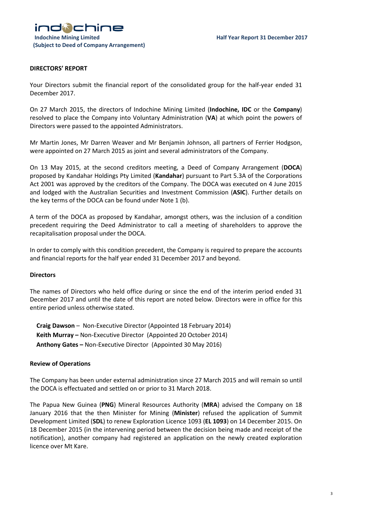

# **DIRECTORS' REPORT**

Your Directors submit the financial report of the consolidated group for the half-year ended 31 December 2017.

On 27 March 2015, the directors of Indochine Mining Limited (**Indochine, IDC** or the **Company**) resolved to place the Company into Voluntary Administration (**VA**) at which point the powers of Directors were passed to the appointed Administrators.

Mr Martin Jones, Mr Darren Weaver and Mr Benjamin Johnson, all partners of Ferrier Hodgson, were appointed on 27 March 2015 as joint and several administrators of the Company.

On 13 May 2015, at the second creditors meeting, a Deed of Company Arrangement (**DOCA**) proposed by Kandahar Holdings Pty Limited (**Kandahar**) pursuant to Part 5.3A of the Corporations Act 2001 was approved by the creditors of the Company. The DOCA was executed on 4 June 2015 and lodged with the Australian Securities and Investment Commission (**ASIC**). Further details on the key terms of the DOCA can be found under Note 1 (b).

A term of the DOCA as proposed by Kandahar, amongst others, was the inclusion of a condition precedent requiring the Deed Administrator to call a meeting of shareholders to approve the recapitalisation proposal under the DOCA.

In order to comply with this condition precedent, the Company is required to prepare the accounts and financial reports for the half year ended 31 December 2017 and beyond.

### **Directors**

The names of Directors who held office during or since the end of the interim period ended 31 December 2017 and until the date of this report are noted below. Directors were in office for this entire period unless otherwise stated.

**Craig Dawson** – Non-Executive Director (Appointed 18 February 2014) **Keith Murray –** Non-Executive Director (Appointed 20 October 2014) **Anthony Gates –** Non-Executive Director (Appointed 30 May 2016)

### **Review of Operations**

The Company has been under external administration since 27 March 2015 and will remain so until the DOCA is effectuated and settled on or prior to 31 March 2018.

The Papua New Guinea (**PNG**) Mineral Resources Authority (**MRA**) advised the Company on 18 January 2016 that the then Minister for Mining (**Minister**) refused the application of Summit Development Limited (**SDL**) to renew Exploration Licence 1093 (**EL 1093**) on 14 December 2015. On 18 December 2015 (in the intervening period between the decision being made and receipt of the notification), another company had registered an application on the newly created exploration licence over Mt Kare.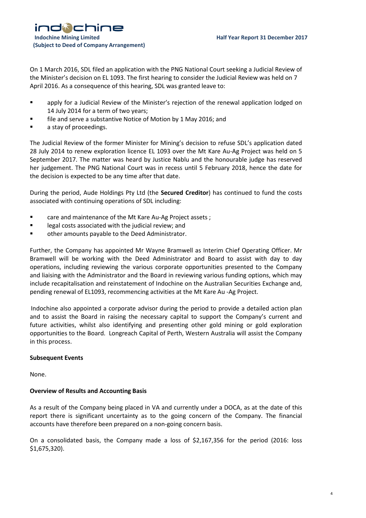

On 1 March 2016, SDL filed an application with the PNG National Court seeking a Judicial Review of the Minister's decision on EL 1093. The first hearing to consider the Judicial Review was held on 7 April 2016. As a consequence of this hearing, SDL was granted leave to:

- apply for a Judicial Review of the Minister's rejection of the renewal application lodged on 14 July 2014 for a term of two years;
- **Fall and serve a substantive Notice of Motion by 1 May 2016; and**
- **a** stay of proceedings.

The Judicial Review of the former Minister for Mining's decision to refuse SDL's application dated 28 July 2014 to renew exploration licence EL 1093 over the Mt Kare Au-Ag Project was held on 5 September 2017. The matter was heard by Justice Nablu and the honourable judge has reserved her judgement. The PNG National Court was in recess until 5 February 2018, hence the date for the decision is expected to be any time after that date.

During the period, Aude Holdings Pty Ltd (the **Secured Creditor**) has continued to fund the costs associated with continuing operations of SDL including:

- **Example 2** care and maintenance of the Mt Kare Au-Ag Project assets ;
- **EXEC** legal costs associated with the judicial review; and
- **•** other amounts payable to the Deed Administrator.

Further, the Company has appointed Mr Wayne Bramwell as Interim Chief Operating Officer. Mr Bramwell will be working with the Deed Administrator and Board to assist with day to day operations, including reviewing the various corporate opportunities presented to the Company and liaising with the Administrator and the Board in reviewing various funding options, which may include recapitalisation and reinstatement of Indochine on the Australian Securities Exchange and, pending renewal of EL1093, recommencing activities at the Mt Kare Au -Ag Project.

Indochine also appointed a corporate advisor during the period to provide a detailed action plan and to assist the Board in raising the necessary capital to support the Company's current and future activities, whilst also identifying and presenting other gold mining or gold exploration opportunities to the Board. Longreach Capital of Perth, Western Australia will assist the Company in this process.

### **Subsequent Events**

None.

# **Overview of Results and Accounting Basis**

As a result of the Company being placed in VA and currently under a DOCA, as at the date of this report there is significant uncertainty as to the going concern of the Company. The financial accounts have therefore been prepared on a non-going concern basis.

On a consolidated basis, the Company made a loss of \$2,167,356 for the period (2016: loss \$1,675,320).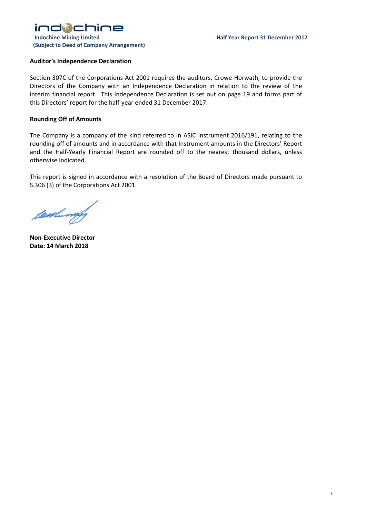

## **Auditor's Independence Declaration**

Section 307C of the Corporations Act 2001 requires the auditors, Crowe Horwath, to provide the Directors of the Company with an Independence Declaration in relation to the review of the interim financial report. This Independence Declaration is set out on page 19 and forms part of this Directors' report for the half-year ended 31 December 2017.

### **Rounding Off of Amounts**

The Company is a company of the kind referred to in ASIC Instrument 2016/191, relating to the rounding off of amounts and in accordance with that Instrument amounts in the Directors' Report and the Half-Yearly Financial Report are rounded off to the nearest thousand dollars, unless otherwise indicated.

This report is signed in accordance with a resolution of the Board of Directors made pursuant to S.306 (3) of the Corporations Act 2001.

Westwood

**Non-Executive Director Date: 14 March 2018**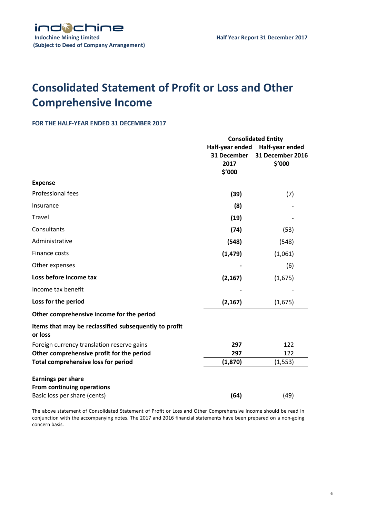

# **Consolidated Statement of Profit or Loss and Other Comprehensive Income**

## **FOR THE HALF-YEAR ENDED 31 DECEMBER 2017**

|                                                                  | <b>Consolidated Entity</b>                       |                                               |
|------------------------------------------------------------------|--------------------------------------------------|-----------------------------------------------|
|                                                                  | Half-year ended<br>31 December<br>2017<br>\$'000 | Half-year ended<br>31 December 2016<br>\$'000 |
| <b>Expense</b>                                                   |                                                  |                                               |
| Professional fees                                                | (39)                                             | (7)                                           |
| Insurance                                                        | (8)                                              |                                               |
| <b>Travel</b>                                                    | (19)                                             |                                               |
| Consultants                                                      | (74)                                             | (53)                                          |
| Administrative                                                   | (548)                                            | (548)                                         |
| Finance costs                                                    | (1, 479)                                         | (1,061)                                       |
| Other expenses                                                   |                                                  | (6)                                           |
| Loss before income tax                                           | (2, 167)                                         | (1,675)                                       |
| Income tax benefit                                               |                                                  |                                               |
| Loss for the period                                              | (2, 167)                                         | (1,675)                                       |
| Other comprehensive income for the period                        |                                                  |                                               |
| Items that may be reclassified subsequently to profit<br>or loss |                                                  |                                               |
| Foreign currency translation reserve gains                       | 297                                              | 122                                           |
| Other comprehensive profit for the period                        | 297                                              | 122                                           |
| <b>Total comprehensive loss for period</b>                       | (1,870)                                          | (1, 553)                                      |
| <b>Earnings per share</b>                                        |                                                  |                                               |
| From continuing operations                                       |                                                  |                                               |
| Basic loss per share (cents)                                     | (64)                                             | (49)                                          |

The above statement of Consolidated Statement of Profit or Loss and Other Comprehensive Income should be read in conjunction with the accompanying notes. The 2017 and 2016 financial statements have been prepared on a non-going concern basis.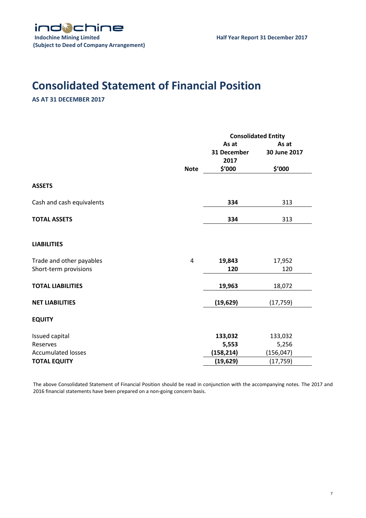# **Consolidated Statement of Financial Position**

# **AS AT 31 DECEMBER 2017**

|                                                   |             | <b>Consolidated Entity</b>             |                                 |
|---------------------------------------------------|-------------|----------------------------------------|---------------------------------|
|                                                   | <b>Note</b> | As at<br>31 December<br>2017<br>\$'000 | As at<br>30 June 2017<br>\$'000 |
| <b>ASSETS</b>                                     |             |                                        |                                 |
| Cash and cash equivalents                         |             | 334                                    | 313                             |
| <b>TOTAL ASSETS</b>                               |             | 334                                    | 313                             |
| <b>LIABILITIES</b>                                |             |                                        |                                 |
| Trade and other payables<br>Short-term provisions | 4           | 19,843<br>120                          | 17,952<br>120                   |
| <b>TOTAL LIABILITIES</b>                          |             | 19,963                                 | 18,072                          |
| <b>NET LIABILITIES</b>                            |             | (19, 629)                              | (17, 759)                       |
| <b>EQUITY</b>                                     |             |                                        |                                 |
| Issued capital<br>Reserves                        |             | 133,032<br>5,553                       | 133,032<br>5,256                |
| <b>Accumulated losses</b>                         |             | (158, 214)                             | (156, 047)                      |
| <b>TOTAL EQUITY</b>                               |             | (19, 629)                              | (17, 759)                       |

The above Consolidated Statement of Financial Position should be read in conjunction with the accompanying notes. The 2017 and 2016 financial statements have been prepared on a non-going concern basis.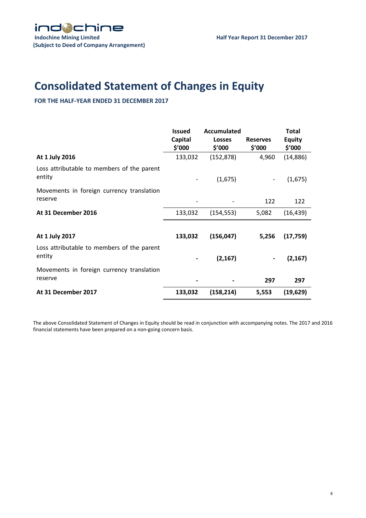# **Consolidated Statement of Changes in Equity**

**FOR THE HALF-YEAR ENDED 31 DECEMBER 2017**

|                                                      | <b>Issued</b><br>Capital<br>\$′000 | Accumulated<br><b>Losses</b><br>\$′000 | <b>Reserves</b><br>\$′000 | <b>Total</b><br><b>Equity</b><br>\$′000 |
|------------------------------------------------------|------------------------------------|----------------------------------------|---------------------------|-----------------------------------------|
| At 1 July 2016                                       | 133,032                            | (152, 878)                             | 4,960                     | (14, 886)                               |
| Loss attributable to members of the parent<br>entity |                                    | (1,675)                                | $\overline{\phantom{a}}$  | (1,675)                                 |
| Movements in foreign currency translation<br>reserve |                                    |                                        | 122                       | 122                                     |
| At 31 December 2016                                  | 133,032                            | (154, 553)                             | 5,082                     | (16, 439)                               |
|                                                      |                                    |                                        |                           |                                         |
| At 1 July 2017                                       | 133,032                            | (156, 047)                             | 5,256                     | (17, 759)                               |
| Loss attributable to members of the parent<br>entity |                                    | (2, 167)                               | $\blacksquare$            | (2, 167)                                |
| Movements in foreign currency translation<br>reserve |                                    |                                        | 297                       | 297                                     |
| At 31 December 2017                                  | 133,032                            | (158, 214)                             | 5,553                     | (19, 629)                               |

The above Consolidated Statement of Changes in Equity should be read in conjunction with accompanying notes. The 2017 and 2016 financial statements have been prepared on a non-going concern basis.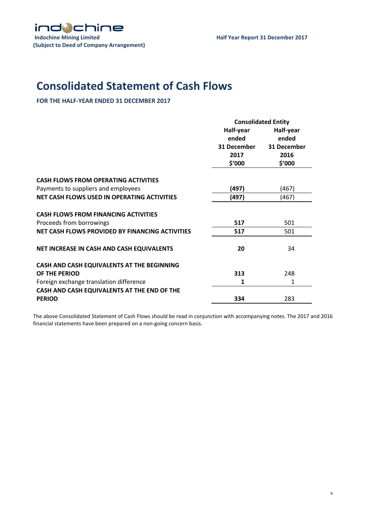

# **Consolidated Statement of Cash Flows**

**FOR THE HALF-YEAR ENDED 31 DECEMBER 2017**

|                                                 | <b>Consolidated Entity</b> |             |
|-------------------------------------------------|----------------------------|-------------|
|                                                 | Half-year                  | Half-year   |
|                                                 | ended                      | ended       |
|                                                 | 31 December                | 31 December |
|                                                 | 2017                       | 2016        |
|                                                 | \$'000                     | \$′000      |
| <b>CASH FLOWS FROM OPERATING ACTIVITIES</b>     |                            |             |
| Payments to suppliers and employees             | (497)                      | (467)       |
| NET CASH FLOWS USED IN OPERATING ACTIVITIES     | (497)                      | (467)       |
|                                                 |                            |             |
| <b>CASH FLOWS FROM FINANCING ACTIVITIES</b>     |                            |             |
| Proceeds from borrowings                        | 517                        | 501         |
| NET CASH FLOWS PROVIDED BY FINANCING ACTIVITIES | 517                        | 501         |
| NET INCREASE IN CASH AND CASH EQUIVALENTS       | 20                         | 34          |
| CASH AND CASH EQUIVALENTS AT THE BEGINNING      |                            |             |
| OF THE PERIOD                                   | 313                        | 248         |
| Foreign exchange translation difference         | 1                          | 1           |
| CASH AND CASH EQUIVALENTS AT THE END OF THE     |                            |             |
| <b>PERIOD</b>                                   | 334                        | 283         |
|                                                 |                            |             |

The above Consolidated Statement of Cash Flows should be read in conjunction with accompanying notes. The 2017 and 2016 financial statements have been prepared on a non-going concern basis.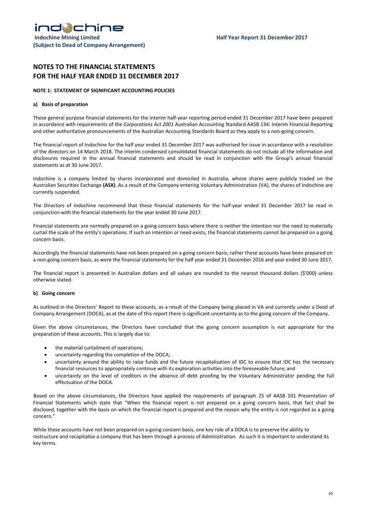# **NOTES TO THE FINANCIAL STATEMENTS FOR THE HALF YEAR ENDED 31 DECEMBER 2017**

#### **NOTE 1: STATEMENT OF SIGNIFICANT ACCOUNTING POLICIES**

#### **a) Basis of preparation**

These general purpose financial statements for the interim half-year reporting period ended 31 December 2017 have been prepared in accordance with requirements of the *Corporations Act 2001* Australian Accounting Standard AASB 134: Interim Financial Reporting and other authoritative pronouncements of the Australian Accounting Standards Board as they apply to a non-going concern.

The financial report of Indochine for the half year ended 31 December 2017 was authorised for issue in accordance with a resolution of the directors on 14 March 2018. The interim condensed consolidated financial statements do not include all the information and disclosures required in the annual financial statements and should be read in conjunction with the Group's annual financial statements as at 30 June 2017.

Indochine is a company limited by shares incorporated and domiciled in Australia, whose shares were publicly traded on the Australian Securities Exchange **(ASX)**. As a result of the Company entering Voluntary Administration (VA), the shares of Indochine are currently suspended.

The Directors of Indochine recommend that these financial statements for the half-year ended 31 December 2017 be read in conjunction with the financial statements for the year ended 30 June 2017.

Financial statements are normally prepared on a going concern basis where there is neither the intention nor the need to materially curtail the scale of the entity's operations. If such an intention or need exists, the financial statements cannot be prepared on a going concern basis.

Accordingly the financial statements have not been prepared on a going concern basis; rather these accounts have been prepared on a non-going concern basis, as were the financial statements for the half year ended 31 December 2016 and year ended 30 June 2017.

The financial report is presented in Australian dollars and all values are rounded to the nearest thousand dollars (\$'000) unless otherwise stated.

#### **b) Going concern**

As outlined in the Directors' Report to these accounts, as a result of the Company being placed in VA and currently under a Deed of Company Arrangement (DOCA), as at the date of this report there is significant uncertainty as to the going concern of the Company.

Given the above circumstances, the Directors have concluded that the going concern assumption is not appropriate for the preparation of these accounts. This is largely due to:

- the material curtailment of operations;
- uncertainty regarding the completion of the DOCA;
- uncertainty around the ability to raise funds and the future recapitalisation of IDC to ensure that IDC has the necessary financial resources to appropriately continue with its exploration activities into the foreseeable future; and
- uncertainty on the level of creditors in the absence of debt proofing by the Voluntary Administrator pending the full effectuation of the DOCA.

Based on the above circumstances, the Directors have applied the requirements of paragraph 25 of AASB 101 Presentation of Financial Statements which state that "When the financial report is not prepared on a going concern basis, that fact shall be disclosed, together with the basis on which the financial report is prepared and the reason why the entity is not regarded as a going concern."

While these accounts have not been prepared on a going concern basis, one key role of a DOCA is to preserve the ability to restructure and recapitalise a company that has been through a process of Administration. As such it is important to understand its key terms.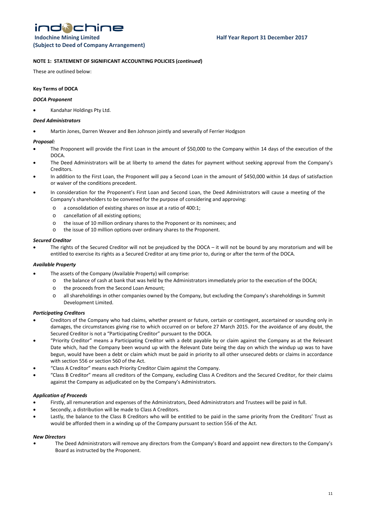indichine

#### **NOTE 1: STATEMENT OF SIGNIFICANT ACCOUNTING POLICIES (***continued***)**

These are outlined below:

#### **Key Terms of DOCA**

#### *DOCA Proponent*

• Kandahar Holdings Pty Ltd.

#### *Deed Administrators*

• Martin Jones, Darren Weaver and Ben Johnson jointly and severally of Ferrier Hodgson

#### *Proposal:*

- The Proponent will provide the First Loan in the amount of \$50,000 to the Company within 14 days of the execution of the DOCA.
- The Deed Administrators will be at liberty to amend the dates for payment without seeking approval from the Company's Creditors.
- In addition to the First Loan, the Proponent will pay a Second Loan in the amount of \$450,000 within 14 days of satisfaction or waiver of the conditions precedent.
- In consideration for the Proponent's First Loan and Second Loan, the Deed Administrators will cause a meeting of the Company's shareholders to be convened for the purpose of considering and approving:
	- o a consolidation of existing shares on issue at a ratio of 400:1;
	- o cancellation of all existing options;
	- o the issue of 10 million ordinary shares to the Proponent or its nominees; and
	- o the issue of 10 million options over ordinary shares to the Proponent.

#### *Secured Creditor*

The rights of the Secured Creditor will not be prejudiced by the DOCA – it will not be bound by any moratorium and will be entitled to exercise its rights as a Secured Creditor at any time prior to, during or after the term of the DOCA.

#### *Available Property*

- The assets of the Company (Available Property) will comprise:
	- o the balance of cash at bank that was held by the Administrators immediately prior to the execution of the DOCA;
	- o the proceeds from the Second Loan Amount;
	- o all shareholdings in other companies owned by the Company, but excluding the Company's shareholdings in Summit Development Limited.

#### *Participating Creditors*

- Creditors of the Company who had claims, whether present or future, certain or contingent, ascertained or sounding only in damages, the circumstances giving rise to which occurred on or before 27 March 2015. For the avoidance of any doubt, the Secured Creditor is not a "Participating Creditor" pursuant to the DOCA.
- "Priority Creditor" means a Participating Creditor with a debt payable by or claim against the Company as at the Relevant Date which, had the Company been wound up with the Relevant Date being the day on which the windup up was to have begun, would have been a debt or claim which must be paid in priority to all other unsecured debts or claims in accordance with section 556 or section 560 of the Act.
- "Class A Creditor" means each Priority Creditor Claim against the Company.
- "Class B Creditor" means all creditors of the Company, excluding Class A Creditors and the Secured Creditor, for their claims against the Company as adjudicated on by the Company's Administrators.

#### *Application of Proceeds*

- Firstly, all remuneration and expenses of the Administrators, Deed Administrators and Trustees will be paid in full.
- Secondly, a distribution will be made to Class A Creditors.
- Lastly, the balance to the Class B Creditors who will be entitled to be paid in the same priority from the Creditors' Trust as would be afforded them in a winding up of the Company pursuant to section 556 of the Act.

#### *New Directors*

*•* The Deed Administrators will remove any directors from the Company's Board and appoint new directors to the Company's Board as instructed by the Proponent.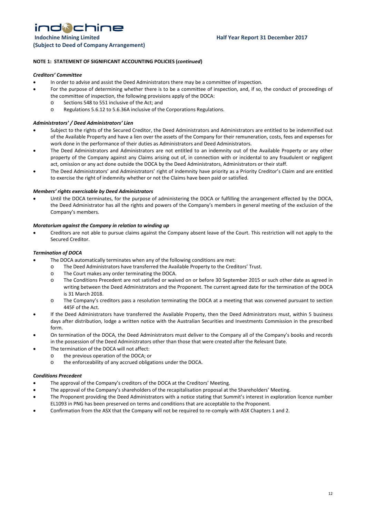**(Subject to Deed of Company Arrangement)** 

#### **NOTE 1: STATEMENT OF SIGNIFICANT ACCOUNTING POLICIES (***continued***)**

#### *Creditors' Committee*

- In order to advise and assist the Deed Administrators there may be a committee of inspection.
- For the purpose of determining whether there is to be a committee of inspection, and, if so, the conduct of proceedings of the committee of inspection, the following provisions apply of the DOCA:
	- o Sections 548 to 551 inclusive of the Act; and
	- o Regulations 5.6.12 to 5.6.36A inclusive of the Corporations Regulations.

#### *Administrators' / Deed Administrators' Lien*

- Subject to the rights of the Secured Creditor, the Deed Administrators and Administrators are entitled to be indemnified out of the Available Property and have a lien over the assets of the Company for their remuneration, costs, fees and expenses for work done in the performance of their duties as Administrators and Deed Administrators.
- The Deed Administrators and Administrators are not entitled to an indemnity out of the Available Property or any other property of the Company against any Claims arising out of, in connection with or incidental to any fraudulent or negligent act, omission or any act done outside the DOCA by the Deed Administrators, Administrators or their staff.
- The Deed Administrators' and Administrators' right of indemnity have priority as a Priority Creditor's Claim and are entitled to exercise the right of indemnity whether or not the Claims have been paid or satisfied.

#### *Members' rights exercisable by Deed Administrators*

• Until the DOCA terminates, for the purpose of administering the DOCA or fulfilling the arrangement effected by the DOCA, the Deed Administrator has all the rights and powers of the Company's members in general meeting of the exclusion of the Company's members.

#### *Moratorium against the Company in relation to winding up*

• Creditors are not able to pursue claims against the Company absent leave of the Court. This restriction will not apply to the Secured Creditor.

#### *Termination of DOCA*

- The DOCA automatically terminates when any of the following conditions are met:
	- o The Deed Administrators have transferred the Available Property to the Creditors' Trust.
	- o The Court makes any order terminating the DOCA.
	- o The Conditions Precedent are not satisfied or waived on or before 30 September 2015 or such other date as agreed in writing between the Deed Administrators and the Proponent. The current agreed date for the termination of the DOCA is 31 March 2018.
	- o The Company's creditors pass a resolution terminating the DOCA at a meeting that was convened pursuant to section 445F of the Act.
- If the Deed Administrators have transferred the Available Property, then the Deed Administrators must, within 5 business days after distribution, lodge a written notice with the Australian Securities and Investments Commission in the prescribed form.
- On termination of the DOCA, the Deed Administrators must deliver to the Company all of the Company's books and records in the possession of the Deed Administrators other than those that were created after the Relevant Date.
- The termination of the DOCA will not affect:
	- o the previous operation of the DOCA; or
	- o the enforceability of any accrued obligations under the DOCA.

#### *Conditions Precedent*

- The approval of the Company's creditors of the DOCA at the Creditors' Meeting.
- The approval of the Company's shareholders of the recapitalisation proposal at the Shareholders' Meeting.
- The Proponent providing the Deed Administrators with a notice stating that Summit's interest in exploration licence number EL1093 in PNG has been preserved on terms and conditions that are acceptable to the Proponent.
- Confirmation from the ASX that the Company will not be required to re-comply with ASX Chapters 1 and 2.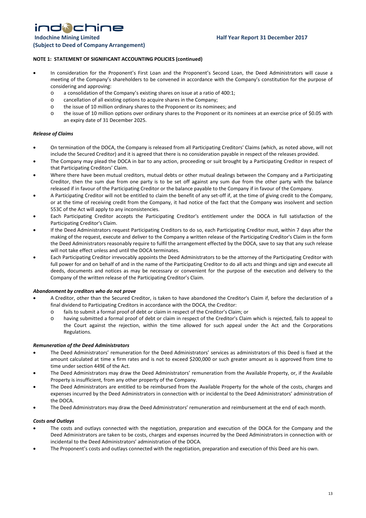indichine **Indochine Mining Limited Community Community Community Community Community Community Community Community Community Community Community Community Community Community Community Community Community Community Community Commun (Subject to Deed of Company Arrangement)** 

#### **NOTE 1: STATEMENT OF SIGNIFICANT ACCOUNTING POLICIES (continued)**

- In consideration for the Proponent's First Loan and the Proponent's Second Loan, the Deed Administrators will cause a meeting of the Company's shareholders to be convened in accordance with the Company's constitution for the purpose of considering and approving:
	- o a consolidation of the Company's existing shares on issue at a ratio of 400:1;
	- o cancellation of all existing options to acquire shares in the Company;
	- o the issue of 10 million ordinary shares to the Proponent or its nominees; and
	- o the issue of 10 million options over ordinary shares to the Proponent or its nominees at an exercise price of \$0.05 with an expiry date of 31 December 2025.

#### *Release of Claims*

- On termination of the DOCA, the Company is released from all Participating Creditors' Claims (which, as noted above, will not include the Secured Creditor) and it is agreed that there is no consideration payable in respect of the releases provided.
- The Company may plead the DOCA in bar to any action, proceeding or suit brought by a Participating Creditor in respect of that Participating Creditors' Claim.
- Where there have been mutual creditors, mutual debts or other mutual dealings between the Company and a Participating Creditor, then the sum due from one party is to be set off against any sum due from the other party with the balance released if in favour of the Participating Creditor or the balance payable to the Company if in favour of the Company.
- A Participating Creditor will not be entitled to claim the benefit of any set-off if, at the time of giving credit to the Company, or at the time of receiving credit from the Company, it had notice of the fact that the Company was insolvent and section 553C of the Act will apply to any inconsistencies.
- Each Participating Creditor accepts the Participating Creditor's entitlement under the DOCA in full satisfaction of the Participating Creditor's Claim.
- If the Deed Administrators request Participating Creditors to do so, each Participating Creditor must, within 7 days after the making of the request, execute and deliver to the Company a written release of the Participating Creditor's Claim in the form the Deed Administrators reasonably require to fulfil the arrangement effected by the DOCA, save to say that any such release will not take effect unless and until the DOCA terminates.
- Each Participating Creditor irrevocably appoints the Deed Administrators to be the attorney of the Participating Creditor with full power for and on behalf of and in the name of the Participating Creditor to do all acts and things and sign and execute all deeds, documents and notices as may be necessary or convenient for the purpose of the execution and delivery to the Company of the written release of the Participating Creditor's Claim.

#### *Abandonment by creditors who do not prove*

- A Creditor, other than the Secured Creditor, is taken to have abandoned the Creditor's Claim if, before the declaration of a final dividend to Participating Creditors in accordance with the DOCA, the Creditor:
	- o fails to submit a formal proof of debt or claim in respect of the Creditor's Claim; or
	- o having submitted a formal proof of debt or claim in respect of the Creditor's Claim which is rejected, fails to appeal to the Court against the rejection, within the time allowed for such appeal under the Act and the Corporations Regulations.

#### *Remuneration of the Deed Administrators*

- The Deed Administrators' remuneration for the Deed Administrators' services as administrators of this Deed is fixed at the amount calculated at time x firm rates and is not to exceed \$200,000 or such greater amount as is approved from time to time under section 449E of the Act.
- The Deed Administrators may draw the Deed Administrators' remuneration from the Available Property, or, if the Available Property is insufficient, from any other property of the Company.
- The Deed Administrators are entitled to be reimbursed from the Available Property for the whole of the costs, charges and expenses incurred by the Deed Administrators in connection with or incidental to the Deed Administrators' administration of the DOCA.
- The Deed Administrators may draw the Deed Administrators' remuneration and reimbursement at the end of each month.

#### *Costs and Outlays*

- The costs and outlays connected with the negotiation, preparation and execution of the DOCA for the Company and the Deed Administrators are taken to be costs, charges and expenses incurred by the Deed Administrators in connection with or incidental to the Deed Administrators' administration of the DOCA.
- The Proponent's costs and outlays connected with the negotiation, preparation and execution of this Deed are his own.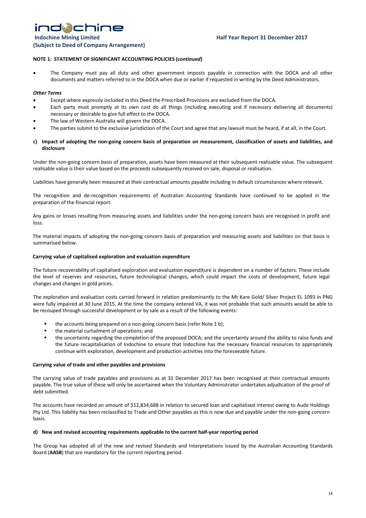# indichine **Indochine Mining Limited Community Community Community Community Community Community Community Community Community Community Community Community Community Community Community Community Community Community Community Commun**

**(Subject to Deed of Company Arrangement)** 

#### **NOTE 1: STATEMENT OF SIGNIFICANT ACCOUNTING POLICIES (***continued***)**

• The Company must pay all duty and other government imposts payable in connection with the DOCA and all other documents and matters referred to in the DOCA when due or earlier if requested in writing by the Deed Administrators.

#### *Other Terms*

- Except where expressly included in this Deed the Prescribed Provisions are excluded from the DOCA.
- Each party must promptly at its own cost do all things (including executing and if necessary delivering all documents) necessary or desirable to give full effect to the DOCA.
- The law of Western Australia will govern the DOCA.
- The parties submit to the exclusive jurisdiction of the Court and agree that any lawsuit must be heard, if at all, in the Court.

#### **c) Impact of adopting the non-going concern basis of preparation on measurement, classification of assets and liabilities, and disclosure**

Under the non-going concern basis of preparation, assets have been measured at their subsequent realisable value. The subsequent realisable value is their value based on the proceeds subsequently received on sale, disposal or realisation.

Liabilities have generally been measured at their contractual amounts payable including in default circumstances where relevant.

The recognition and de-recognition requirements of Australian Accounting Standards have continued to be applied in the preparation of the financial report.

Any gains or losses resulting from measuring assets and liabilities under the non-going concern basis are recognised in profit and loss.

The material impacts of adopting the non-going concern basis of preparation and measuring assets and liabilities on that basis is summarised below.

#### **Carrying value of capitalised exploration and evaluation expenditure**

The future recoverability of capitalised exploration and evaluation expenditure is dependent on a number of factors. These include the level of reserves and resources, future technological changes, which could impact the costs of development, future legal changes and changes in gold prices.

The exploration and evaluation costs carried forward in relation predominantly to the Mt Kare Gold/ Silver Project EL 1093 in PNG were fully impaired at 30 June 2015. At the time the company entered VA, it was not probable that such amounts would be able to be recouped through successful development or by sale as a result of the following events:

- **the accounts being prepared on a non-going concern basis (refer Note 1 b);**
- the material curtailment of operations; and
- the uncertainty regarding the completion of the proposed DOCA; and the uncertainty around the ability to raise funds and the future recapitalisation of Indochine to ensure that Indochine has the necessary financial resources to appropriately continue with exploration, development and production activities into the foreseeable future.

#### **Carrying value of trade and other payables and provisions**

The carrying value of trade payables and provisions as at 31 December 2017 has been recognised at their contractual amounts payable. The true value of these will only be ascertained when the Voluntary Administrator undertakes adjudication of the proof of debt submitted.

The accounts have recorded an amount of \$12,834,688 in relation to secured loan and capitalised interest owing to Aude Holdings Pty Ltd. This liability has been reclassified to Trade and Other payables as this is now due and payable under the non-going concern basis.

#### **d) New and revised accounting requirements applicable to the current half-year reporting period**

The Group has adopted all of the new and revised Standards and Interpretations issued by the Australian Accounting Standards Board (**AASB**) that are mandatory for the current reporting period.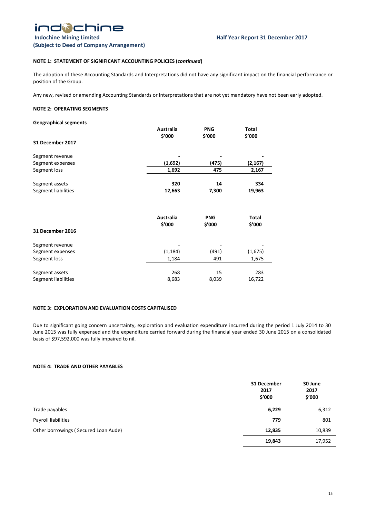### **NOTE 1: STATEMENT OF SIGNIFICANT ACCOUNTING POLICIES (***continued***)**

The adoption of these Accounting Standards and Interpretations did not have any significant impact on the financial performance or position of the Group.

Any new, revised or amending Accounting Standards or Interpretations that are not yet mandatory have not been early adopted.

#### **NOTE 2: OPERATING SEGMENTS**

| <b>Geographical segments</b> |                            |                      |                        |
|------------------------------|----------------------------|----------------------|------------------------|
|                              | Australia                  | <b>PNG</b>           | Total                  |
|                              | \$'000                     | \$'000               | \$'000                 |
| 31 December 2017             |                            |                      |                        |
| Segment revenue              |                            |                      |                        |
| Segment expenses             | (1,692)                    | (475)                | (2, 167)               |
| Segment loss                 | 1,692                      | 475                  | 2,167                  |
| Segment assets               | 320                        | 14                   | 334                    |
| Segment liabilities          | 12,663                     | 7,300                | 19,963                 |
|                              | <b>Australia</b><br>\$'000 | <b>PNG</b><br>\$'000 | <b>Total</b><br>\$'000 |
| <b>31 December 2016</b>      |                            |                      |                        |
| Segment revenue              |                            |                      |                        |
| Segment expenses             | (1, 184)                   | (491)                | (1,675)                |
| Segment loss                 | 1,184                      | 491                  | 1,675                  |
| Segment assets               | 268                        | 15                   | 283                    |
| Segment liabilities          | 8,683                      | 8,039                | 16,722                 |

### **NOTE 3: EXPLORATION AND EVALUATION COSTS CAPITALISED**

Due to significant going concern uncertainty, exploration and evaluation expenditure incurred during the period 1 July 2014 to 30 June 2015 was fully expensed and the expenditure carried forward during the financial year ended 30 June 2015 on a consolidated basis of \$97,592,000 was fully impaired to nil.

#### **NOTE 4: TRADE AND OTHER PAYABLES**

|                                      | 31 December<br>2017<br>\$′000 | 30 June<br>2017<br>\$′000 |
|--------------------------------------|-------------------------------|---------------------------|
| Trade payables                       | 6,229                         | 6,312                     |
| Payroll liabilities                  | 779                           | 801                       |
| Other borrowings (Secured Loan Aude) | 12,835                        | 10,839                    |
|                                      | 19,843                        | 17,952                    |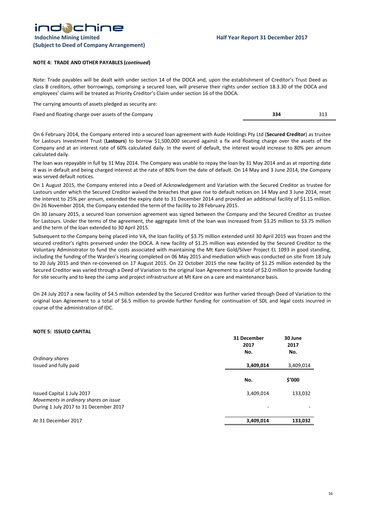#### **NOTE 4: TRADE AND OTHER PAYABLES (***continued***)**

Note: Trade payables will be dealt with under section 14 of the DOCA and, upon the establishment of Creditor's Trust Deed as class B creditors, other borrowings, comprising a secured loan, will preserve their rights under section 18.3.30 of the DOCA and employees' claims will be treated as Priority Creditor's Claim under section 16 of the DOCA.

The carrying amounts of assets pledged as security are:

Fixed and floating charge over assets of the Company **334** 313

On 6 February 2014, the Company entered into a secured loan agreement with Aude Holdings Pty Ltd (**Secured Creditor**) as trustee for Lastours Investment Trust (**Lastours**) to borrow \$1,500,000 secured against a fix and floating charge over the assets of the Company and at an interest rate of 60% calculated daily. In the event of default, the interest would increase to 80% per annum calculated daily.

The loan was repayable in full by 31 May 2014. The Company was unable to repay the loan by 31 May 2014 and as at reporting date it was in default and being charged interest at the rate of 80% from the date of default. On 14 May and 3 June 2014, the Company was served default notices.

On 1 August 2015, the Company entered into a Deed of Acknowledgement and Variation with the Secured Creditor as trustee for Lastours under which the Secured Creditor waived the breaches that gave rise to default notices on 14 May and 3 June 2014, reset the interest to 25% per annum, extended the expiry date to 31 December 2014 and provided an additional facility of \$1.15 million. On 26 November 2014, the Company extended the term of the facility to 28 February 2015.

On 30 January 2015, a secured loan conversion agreement was signed between the Company and the Secured Creditor as trustee for Lastours. Under the terms of the agreement, the aggregate limit of the loan was increased from \$3.25 million to \$3.75 million and the term of the loan extended to 30 April 2015.

Subsequent to the Company being placed into VA, the loan facility of \$3.75 million extended until 30 April 2015 was frozen and the secured creditor's rights preserved under the DOCA. A new facility of \$1.25 million was extended by the Secured Creditor to the Voluntary Administrator to fund the costs associated with maintaining the Mt Kare Gold/Silver Project EL 1093 in good standing, including the funding of the Warden's Hearing completed on 06 May 2015 and mediation which was conducted on site from 18 July to 20 July 2015 and then re-convened on 17 August 2015. On 22 October 2015 the new facility of \$1.25 million extended by the Secured Creditor was varied through a Deed of Variation to the original loan Agreement to a total of \$2.0 million to provide funding for site security and to keep the camp and project infrastructure at Mt Kare on a care and maintenance basis.

On 24 July 2017 a new facility of \$4.5 million extended by the Secured Creditor was further varied through Deed of Variation to the original loan Agreement to a total of \$6.5 million to provide further funding for continuation of SDL and legal costs incurred in course of the administration of IDC.

#### **NOTE 5: ISSUED CAPITAL**

|                                                                                                               | 31 December<br>2017<br>No. | 30 June<br>2017<br>No. |
|---------------------------------------------------------------------------------------------------------------|----------------------------|------------------------|
| Ordinary shares                                                                                               |                            |                        |
| Issued and fully paid                                                                                         | 3,409,014                  | 3,409,014              |
|                                                                                                               | No.                        | \$'000                 |
| Issued Capital 1 July 2017<br>Movements in ordinary shares on issue<br>During 1 July 2017 to 31 December 2017 | 3,409,014<br>٠             | 133,032                |
| At 31 December 2017                                                                                           | 3,409,014                  | 133,032                |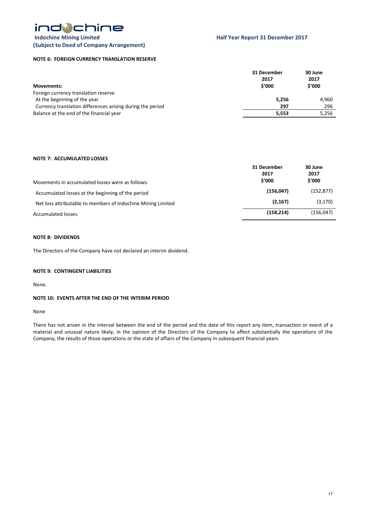

### **Indochine Mining Limited Half Year Report 31 December 2017 (Subject to Deed of Company Arrangement)**

#### **NOTE 6: FOREIGN CURRENCY TRANSLATION RESERVE**

| <b>Movements:</b>                                          | 31 December<br>2017<br>\$'000 | 30 June<br>2017<br>\$′000 |
|------------------------------------------------------------|-------------------------------|---------------------------|
| Foreign currency translation reserve                       |                               |                           |
| At the beginning of the year                               | 5,256                         | 4.960                     |
| Currency translation differences arising during the period | 297                           | 296                       |
| Balance at the end of the financial year                   | 5.553                         | 5.256                     |
|                                                            |                               |                           |

#### **NOTE 7: ACCUMULATED LOSSES**

| Movements in accumulated losses were as follows:             | 31 December<br>2017<br>\$'000 | 30 June<br>2017<br>\$′000 |
|--------------------------------------------------------------|-------------------------------|---------------------------|
| Accumulated losses at the beginning of the period            | (156, 047)                    | (152, 877)                |
| Net loss attributable to members of Indochine Mining Limited | (2, 167)                      | (3, 170)                  |
| <b>Accumulated losses</b>                                    | (158, 214)                    | (156, 047)                |

#### **NOTE 8: DIVIDENDS**

The Directors of the Company have not declared an interim dividend.

#### **NOTE 9: CONTINGENT LIABILITIES**

None.

#### **NOTE 10: EVENTS AFTER THE END OF THE INTERIM PERIOD**

None

There has not arisen in the interval between the end of the period and the date of this report any item, transaction or event of a material and unusual nature likely, in the opinion of the Directors of the Company to affect substantially the operations of the Company, the results of those operations or the state of affairs of the Company in subsequent financial years.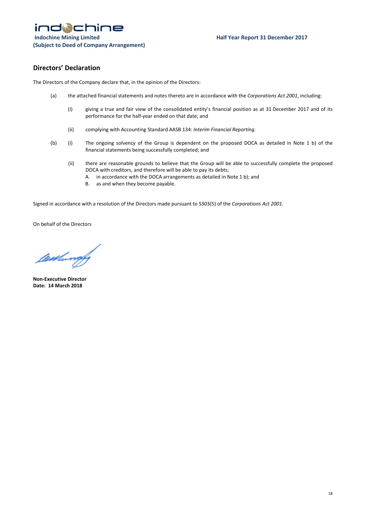# **Directors' Declaration**

The Directors of the Company declare that, in the opinion of the Directors:

- (a) the attached financial statements and notes thereto are in accordance with the *Corporations Act 2001*, including:
	- (i) giving a true and fair view of the consolidated entity's financial position as at 31 December 2017 and of its performance for the half-year ended on that date; and
	- (ii) complying with Accounting Standard AASB 134: *Interim Financial Reporting*.
- (b) (i) The ongoing solvency of the Group is dependent on the proposed DOCA as detailed in Note 1 b) of the financial statements being successfully completed; and
	- (ii) there are reasonable grounds to believe that the Group will be able to successfully complete the proposed DOCA with creditors, and therefore will be able to pay its debts;
		- A. in accordance with the DOCA arrangements as detailed in Note 1 b); and
		- B. as and when they become payable.

Signed in accordance with a resolution of the Directors made pursuant to S303(5) of the *Corporations Act 2001*.

On behalf of the Directors

tumundy

**Non-Executive Director Date: 14 March 2018**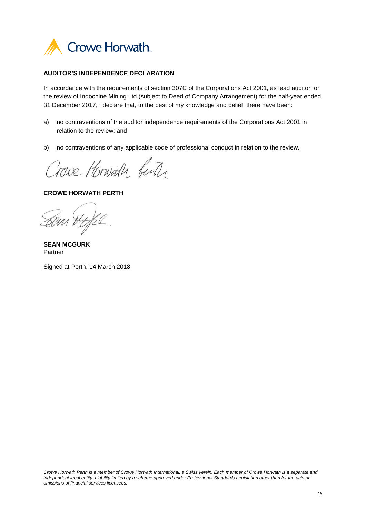

## **AUDITOR'S INDEPENDENCE DECLARATION**

In accordance with the requirements of section 307C of the Corporations Act 2001, as lead auditor for the review of Indochine Mining Ltd (subject to Deed of Company Arrangement) for the half-year ended 31 December 2017, I declare that, to the best of my knowledge and belief, there have been:

- a) no contraventions of the auditor independence requirements of the Corporations Act 2001 in relation to the review; and
- b) no contraventions of any applicable code of professional conduct in relation to the review.

Crowe Horward butte

**CROWE HORWATH PERTH**

**SEAN MCGURK** Partner

Signed at Perth, 14 March 2018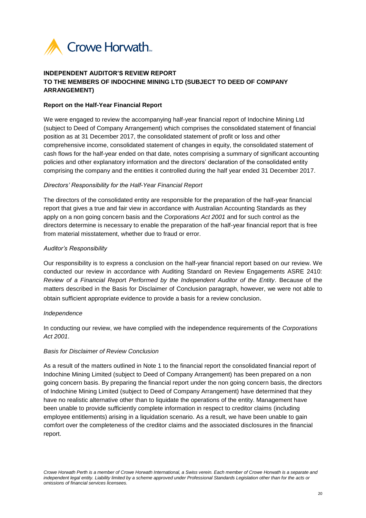

# **INDEPENDENT AUDITOR'S REVIEW REPORT TO THE MEMBERS OF INDOCHINE MINING LTD (SUBJECT TO DEED OF COMPANY ARRANGEMENT)**

# **Report on the Half-Year Financial Report**

We were engaged to review the accompanying half-year financial report of Indochine Mining Ltd (subject to Deed of Company Arrangement) which comprises the consolidated statement of financial position as at 31 December 2017, the consolidated statement of profit or loss and other comprehensive income, consolidated statement of changes in equity, the consolidated statement of cash flows for the half-year ended on that date, notes comprising a summary of significant accounting policies and other explanatory information and the directors' declaration of the consolidated entity comprising the company and the entities it controlled during the half year ended 31 December 2017.

# *Directors' Responsibility for the Half-Year Financial Report*

The directors of the consolidated entity are responsible for the preparation of the half-year financial report that gives a true and fair view in accordance with Australian Accounting Standards as they apply on a non going concern basis and the *Corporations Act 2001* and for such control as the directors determine is necessary to enable the preparation of the half-year financial report that is free from material misstatement, whether due to fraud or error.

# *Auditor's Responsibility*

Our responsibility is to express a conclusion on the half-year financial report based on our review. We conducted our review in accordance with Auditing Standard on Review Engagements ASRE 2410: *Review of a Financial Repor*t *Performed by the Independent Auditor of the Entity*. Because of the matters described in the Basis for Disclaimer of Conclusion paragraph, however, we were not able to obtain sufficient appropriate evidence to provide a basis for a review conclusion.

# *Independence*

In conducting our review, we have complied with the independence requirements of the *Corporations Act 2001*.

# *Basis for Disclaimer of Review Conclusion*

As a result of the matters outlined in Note 1 to the financial report the consolidated financial report of Indochine Mining Limited (subject to Deed of Company Arrangement) has been prepared on a non going concern basis. By preparing the financial report under the non going concern basis, the directors of Indochine Mining Limited (subject to Deed of Company Arrangement) have determined that they have no realistic alternative other than to liquidate the operations of the entity. Management have been unable to provide sufficiently complete information in respect to creditor claims (including employee entitlements) arising in a liquidation scenario. As a result, we have been unable to gain comfort over the completeness of the creditor claims and the associated disclosures in the financial report.